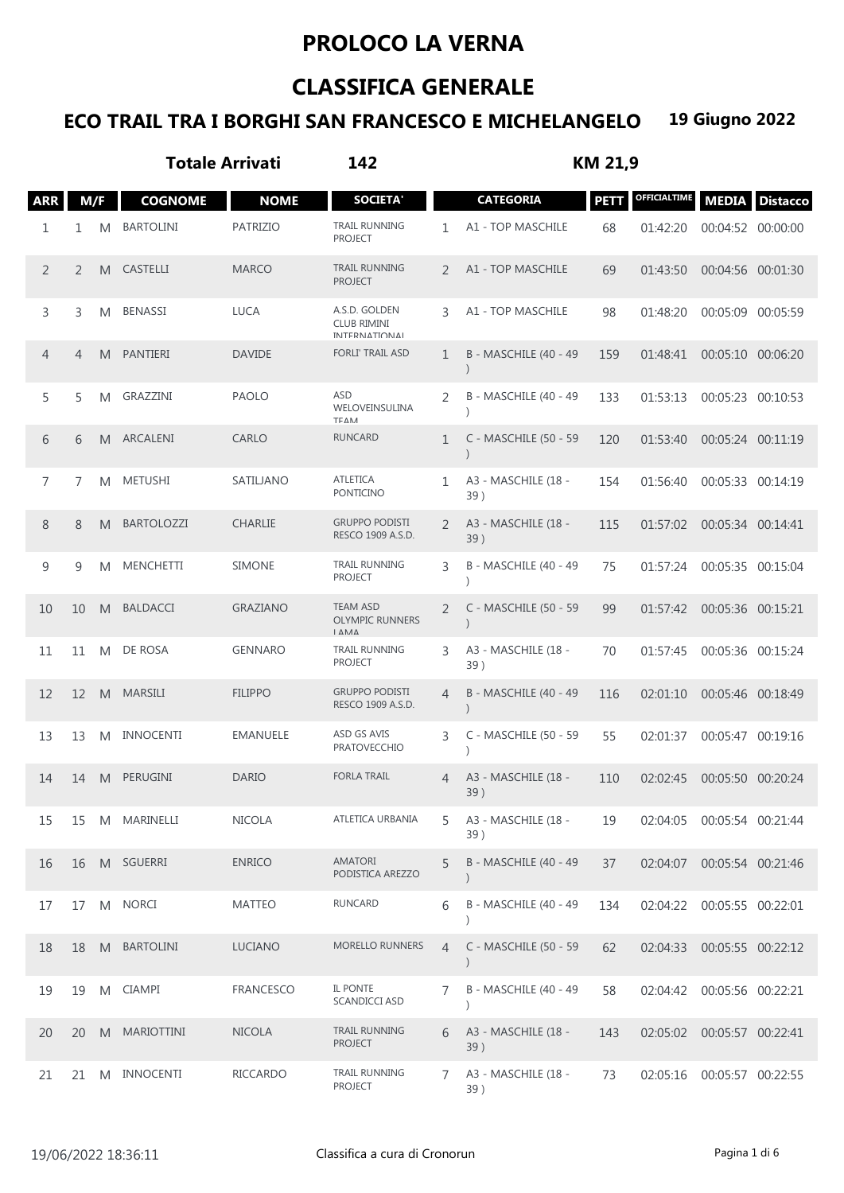## **PROLOCO LA VERNA**

## **CLASSIFICA GENERALE**

## **ECO TRAIL TRA I BORGHI SAN FRANCESCO E MICHELANGELO 19 Giugno 2022**

|            |                |   | <b>Totale Arrivati</b> |                 | 142                                                  | KM 21,9        |                            |             |              |                   |                 |
|------------|----------------|---|------------------------|-----------------|------------------------------------------------------|----------------|----------------------------|-------------|--------------|-------------------|-----------------|
| <b>ARR</b> | M/F            |   | <b>COGNOME</b>         | <b>NOME</b>     | <b>SOCIETA'</b>                                      |                | <b>CATEGORIA</b>           | <b>PETT</b> | OFFICIALTIME | <b>MEDIA</b>      | <b>Distacco</b> |
| 1          | 1              | M | <b>BARTOLINI</b>       | <b>PATRIZIO</b> | <b>TRAIL RUNNING</b><br><b>PROJECT</b>               | 1              | A1 - TOP MASCHILE          | 68          | 01:42:20     | 00:04:52 00:00:00 |                 |
| 2          | 2              | M | <b>CASTELLI</b>        | <b>MARCO</b>    | <b>TRAIL RUNNING</b><br><b>PROJECT</b>               | 2              | A1 - TOP MASCHILE          | 69          | 01:43:50     | 00:04:56 00:01:30 |                 |
| 3          | 3              | M | <b>BENASSI</b>         | <b>LUCA</b>     | A.S.D. GOLDEN<br><b>CLUB RIMINI</b><br>ΙΝΤΕRΝΑΤΙΩΝΑΙ | 3              | A1 - TOP MASCHILE          | 98          | 01:48:20     | 00:05:09 00:05:59 |                 |
| 4          | $\overline{4}$ | M | PANTIERI               | <b>DAVIDE</b>   | <b>FORLI' TRAIL ASD</b>                              | 1              | B - MASCHILE (40 - 49      | 159         | 01:48:41     | 00:05:10 00:06:20 |                 |
| 5          | 5              | M | GRAZZINI               | <b>PAOLO</b>    | <b>ASD</b><br>WELOVEINSULINA<br>ΤΕΔΜ                 | 2              | B - MASCHILE (40 - 49      | 133         | 01:53:13     | 00:05:23 00:10:53 |                 |
| 6          | 6              | M | ARCALENI               | CARLO           | <b>RUNCARD</b>                                       | 1              | C - MASCHILE (50 - 59      | 120         | 01:53:40     | 00:05:24 00:11:19 |                 |
| 7          | 7              | M | <b>METUSHI</b>         | SATILJANO       | <b>ATLETICA</b><br><b>PONTICINO</b>                  | 1              | A3 - MASCHILE (18 -<br>39) | 154         | 01:56:40     | 00:05:33 00:14:19 |                 |
| 8          | 8              | M | <b>BARTOLOZZI</b>      | <b>CHARLIE</b>  | <b>GRUPPO PODISTI</b><br>RESCO 1909 A.S.D.           | 2              | A3 - MASCHILE (18 -<br>39) | 115         | 01:57:02     | 00:05:34 00:14:41 |                 |
| 9          | 9              | M | <b>MENCHETTI</b>       | <b>SIMONE</b>   | <b>TRAIL RUNNING</b><br><b>PROJECT</b>               | 3              | B - MASCHILE (40 - 49      | 75          | 01:57:24     | 00:05:35 00:15:04 |                 |
| 10         | 10             | M | <b>BALDACCI</b>        | <b>GRAZIANO</b> | <b>TEAM ASD</b><br><b>OLYMPIC RUNNERS</b><br>ΙΔΜΔ    | 2              | C - MASCHILE (50 - 59      | 99          | 01:57:42     | 00:05:36 00:15:21 |                 |
| 11         | 11             | M | DE ROSA                | <b>GENNARO</b>  | TRAIL RUNNING<br><b>PROJECT</b>                      | 3              | A3 - MASCHILE (18 -<br>39) | 70          | 01:57:45     | 00:05:36 00:15:24 |                 |
| 12         | 12             | M | <b>MARSILI</b>         | <b>FILIPPO</b>  | <b>GRUPPO PODISTI</b><br>RESCO 1909 A.S.D.           | $\overline{4}$ | B - MASCHILE (40 - 49      | 116         | 02:01:10     | 00:05:46 00:18:49 |                 |
| 13         | 13             | M | <b>INNOCENTI</b>       | <b>EMANUELE</b> | ASD GS AVIS<br><b>PRATOVECCHIO</b>                   | 3              | C - MASCHILE (50 - 59      | 55          | 02:01:37     | 00:05:47 00:19:16 |                 |
| 14         | 14             | M | PERUGINI               | <b>DARIO</b>    | <b>FORLA TRAIL</b>                                   | 4              | A3 - MASCHILE (18 -<br>39) | 110         | 02:02:45     | 00:05:50 00:20:24 |                 |
| 15         | 15             | M | MARINELLI              | NICOLA          | ATLETICA URBANIA                                     | 5              | A3 - MASCHILE (18 -<br>39) | 19          | 02:04:05     | 00:05:54 00:21:44 |                 |
| 16         | 16             |   | M SGUERRI              | <b>ENRICO</b>   | <b>AMATORI</b><br>PODISTICA AREZZO                   | 5              | B - MASCHILE (40 - 49      | 37          | 02:04:07     | 00:05:54 00:21:46 |                 |
| 17         | 17             | M | <b>NORCI</b>           | <b>MATTEO</b>   | RUNCARD                                              | 6              | B - MASCHILE (40 - 49      | 134         | 02:04:22     | 00:05:55 00:22:01 |                 |
| 18         | 18             | M | <b>BARTOLINI</b>       | LUCIANO         | <b>MORELLO RUNNERS</b>                               | 4              | C - MASCHILE (50 - 59      | 62          | 02:04:33     | 00:05:55 00:22:12 |                 |
| 19         | 19             | M | <b>CIAMPI</b>          | FRANCESCO       | IL PONTE<br><b>SCANDICCI ASD</b>                     | 7              | B - MASCHILE (40 - 49      | 58          | 02:04:42     | 00:05:56 00:22:21 |                 |
| 20         | 20             | M | <b>MARIOTTINI</b>      | <b>NICOLA</b>   | <b>TRAIL RUNNING</b><br><b>PROJECT</b>               | 6              | A3 - MASCHILE (18 -<br>39) | 143         | 02:05:02     | 00:05:57 00:22:41 |                 |
| 21         | 21             | M | <b>INNOCENTI</b>       | RICCARDO        | TRAIL RUNNING<br><b>PROJECT</b>                      | 7              | A3 - MASCHILE (18 -<br>39) | 73          | 02:05:16     | 00:05:57 00:22:55 |                 |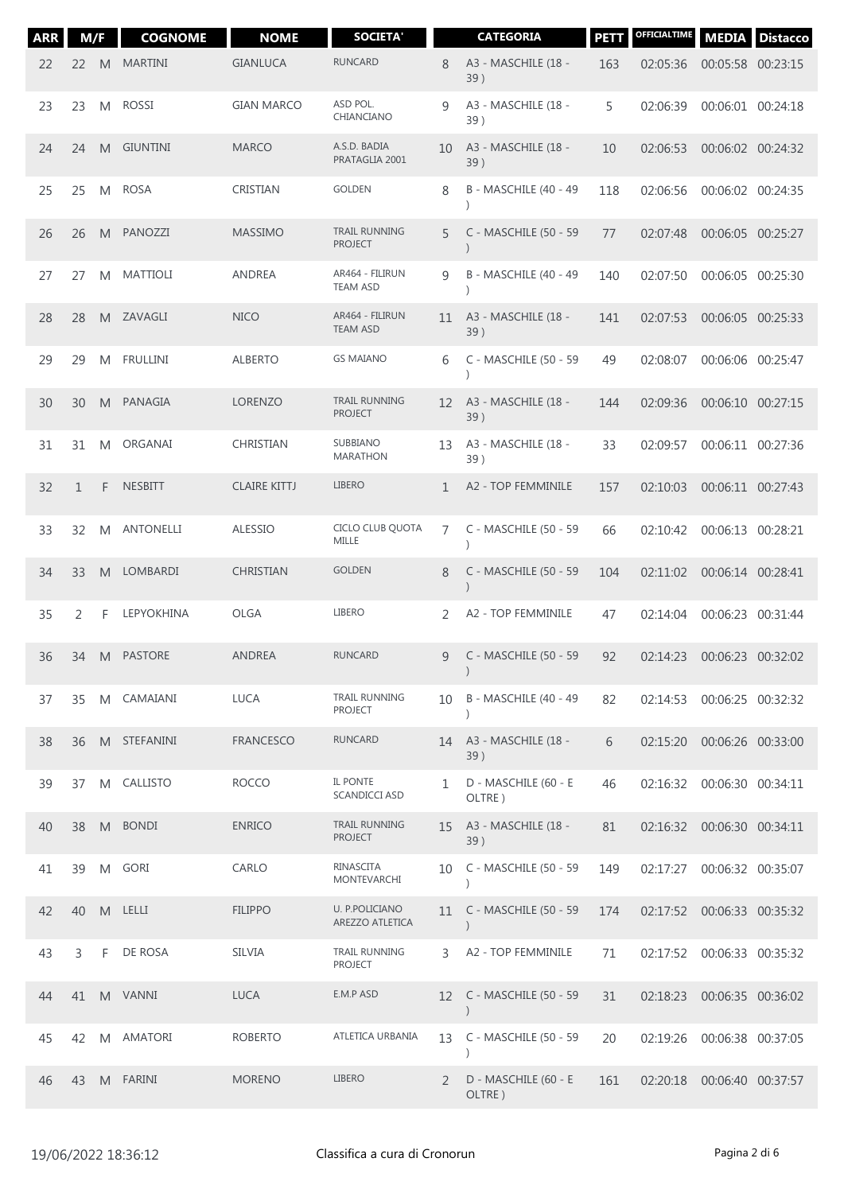| <b>ARR</b> | M/F          |    | <b>COGNOME</b>   | <b>NOME</b>         | <b>SOCIETA'</b>                        |              | <b>CATEGORIA</b>                       | <b>PETT</b> | OFFICIALTIME               | <b>MEDIA</b>      | <b>Distacco</b> |
|------------|--------------|----|------------------|---------------------|----------------------------------------|--------------|----------------------------------------|-------------|----------------------------|-------------------|-----------------|
| 22         | 22           | M  | <b>MARTINI</b>   | <b>GIANLUCA</b>     | <b>RUNCARD</b>                         | 8            | A3 - MASCHILE (18 -<br>39)             | 163         | 02:05:36                   | 00:05:58 00:23:15 |                 |
| 23         | 23           | M  | <b>ROSSI</b>     | <b>GIAN MARCO</b>   | ASD POL.<br>CHIANCIANO                 | 9            | A3 - MASCHILE (18 -<br>39)             | 5           | 02:06:39                   | 00:06:01 00:24:18 |                 |
| 24         | 24           | M  | <b>GIUNTINI</b>  | <b>MARCO</b>        | A.S.D. BADIA<br>PRATAGLIA 2001         | 10           | A3 - MASCHILE (18 -<br>39)             | 10          | 02:06:53                   | 00:06:02 00:24:32 |                 |
| 25         | 25           | M  | <b>ROSA</b>      | CRISTIAN            | <b>GOLDEN</b>                          | 8            | B - MASCHILE (40 - 49                  | 118         | 02:06:56                   | 00:06:02 00:24:35 |                 |
| 26         | 26           | M  | PANOZZI          | <b>MASSIMO</b>      | <b>TRAIL RUNNING</b><br><b>PROJECT</b> | 5            | C - MASCHILE (50 - 59                  | 77          | 02:07:48                   | 00:06:05 00:25:27 |                 |
| 27         | 27           | M  | <b>MATTIOLI</b>  | <b>ANDREA</b>       | AR464 - FILIRUN<br><b>TEAM ASD</b>     | 9            | B - MASCHILE (40 - 49                  | 140         | 02:07:50                   | 00:06:05 00:25:30 |                 |
| 28         | 28           | M  | ZAVAGLI          | <b>NICO</b>         | AR464 - FILIRUN<br><b>TEAM ASD</b>     | 11           | A3 - MASCHILE (18 -<br>39)             | 141         | 02:07:53                   | 00:06:05 00:25:33 |                 |
| 29         | 29           | M  | <b>FRULLINI</b>  | <b>ALBERTO</b>      | <b>GS MAIANO</b>                       | 6            | C - MASCHILE (50 - 59                  | 49          | 02:08:07                   | 00:06:06 00:25:47 |                 |
| 30         | 30           | M  | PANAGIA          | <b>LORENZO</b>      | TRAIL RUNNING<br><b>PROJECT</b>        | 12           | A3 - MASCHILE (18 -<br>39)             | 144         | 02:09:36                   | 00:06:10 00:27:15 |                 |
| 31         | 31           | M  | ORGANAI          | CHRISTIAN           | SUBBIANO<br><b>MARATHON</b>            | 13           | A3 - MASCHILE (18 -<br>39)             | 33          | 02:09:57                   | 00:06:11 00:27:36 |                 |
| 32         | $\mathbf{1}$ | F  | <b>NESBITT</b>   | <b>CLAIRE KITTJ</b> | <b>LIBERO</b>                          | $\mathbf{1}$ | A2 - TOP FEMMINILE                     | 157         | 02:10:03                   | 00:06:11 00:27:43 |                 |
| 33         | 32           | M  | <b>ANTONELLI</b> | <b>ALESSIO</b>      | CICLO CLUB QUOTA<br>MILLE              | 7            | C - MASCHILE (50 - 59                  | 66          | 02:10:42                   | 00:06:13 00:28:21 |                 |
| 34         | 33           | M  | <b>LOMBARDI</b>  | CHRISTIAN           | <b>GOLDEN</b>                          | 8            | C - MASCHILE (50 - 59                  | 104         | 02:11:02                   | 00:06:14 00:28:41 |                 |
| 35         | 2            | F  | LEPYOKHINA       | <b>OLGA</b>         | <b>LIBERO</b>                          | 2            | A2 - TOP FEMMINILE                     | 47          | 02:14:04                   | 00:06:23          | 00:31:44        |
| 36         | 34           | M. | PASTORE          | <b>ANDREA</b>       | <b>RUNCARD</b>                         | 9            | C - MASCHILE (50 - 59                  | 92          | 02:14:23                   | 00:06:23 00:32:02 |                 |
| 37         | 35           | M  | CAMAIANI         | <b>LUCA</b>         | TRAIL RUNNING<br><b>PROJECT</b>        | 10           | B - MASCHILE (40 - 49                  | 82          | 02:14:53                   | 00:06:25 00:32:32 |                 |
| 38         | 36           | M. | STEFANINI        | <b>FRANCESCO</b>    | <b>RUNCARD</b>                         | 14           | A3 - MASCHILE (18 -<br>39)             | 6           | 02:15:20                   | 00:06:26 00:33:00 |                 |
| 39         | 37           | M  | CALLISTO         | <b>ROCCO</b>        | IL PONTE<br><b>SCANDICCI ASD</b>       | 1            | D - MASCHILE (60 - E<br>OLTRE)         | 46          | 02:16:32                   | 00:06:30 00:34:11 |                 |
| 40         | 38           | M  | <b>BONDI</b>     | <b>ENRICO</b>       | TRAIL RUNNING<br><b>PROJECT</b>        | 15           | A3 - MASCHILE (18 -<br>39)             | 81          | 02:16:32 00:06:30 00:34:11 |                   |                 |
| 41         | 39           | M  | GORI             | CARLO               | RINASCITA<br>MONTEVARCHI               | 10           | C - MASCHILE (50 - 59                  | 149         | 02:17:27                   | 00:06:32 00:35:07 |                 |
| 42         | 40           | M  | LELLI            | <b>FILIPPO</b>      | U. P.POLICIANO<br>AREZZO ATLETICA      | 11           | C - MASCHILE (50 - 59<br>$\mathcal{E}$ | 174         | 02:17:52                   | 00:06:33 00:35:32 |                 |
| 43         | 3            | F  | DE ROSA          | <b>SILVIA</b>       | TRAIL RUNNING<br><b>PROJECT</b>        | 3            | A2 - TOP FEMMINILE                     | 71          | 02:17:52                   | 00:06:33 00:35:32 |                 |
| 44         | 41           |    | M VANNI          | <b>LUCA</b>         | E.M.P ASD                              | 12           | C - MASCHILE (50 - 59<br>$\mathcal{E}$ | 31          | 02:18:23                   | 00:06:35 00:36:02 |                 |
| 45         | 42           | M  | AMATORI          | <b>ROBERTO</b>      | ATLETICA URBANIA                       | 13           | C - MASCHILE (50 - 59                  | 20          | 02:19:26                   | 00:06:38 00:37:05 |                 |
| 46         | 43           |    | M FARINI         | <b>MORENO</b>       | <b>LIBERO</b>                          | 2            | D - MASCHILE (60 - E<br>OLTRE)         | 161         | 02:20:18 00:06:40 00:37:57 |                   |                 |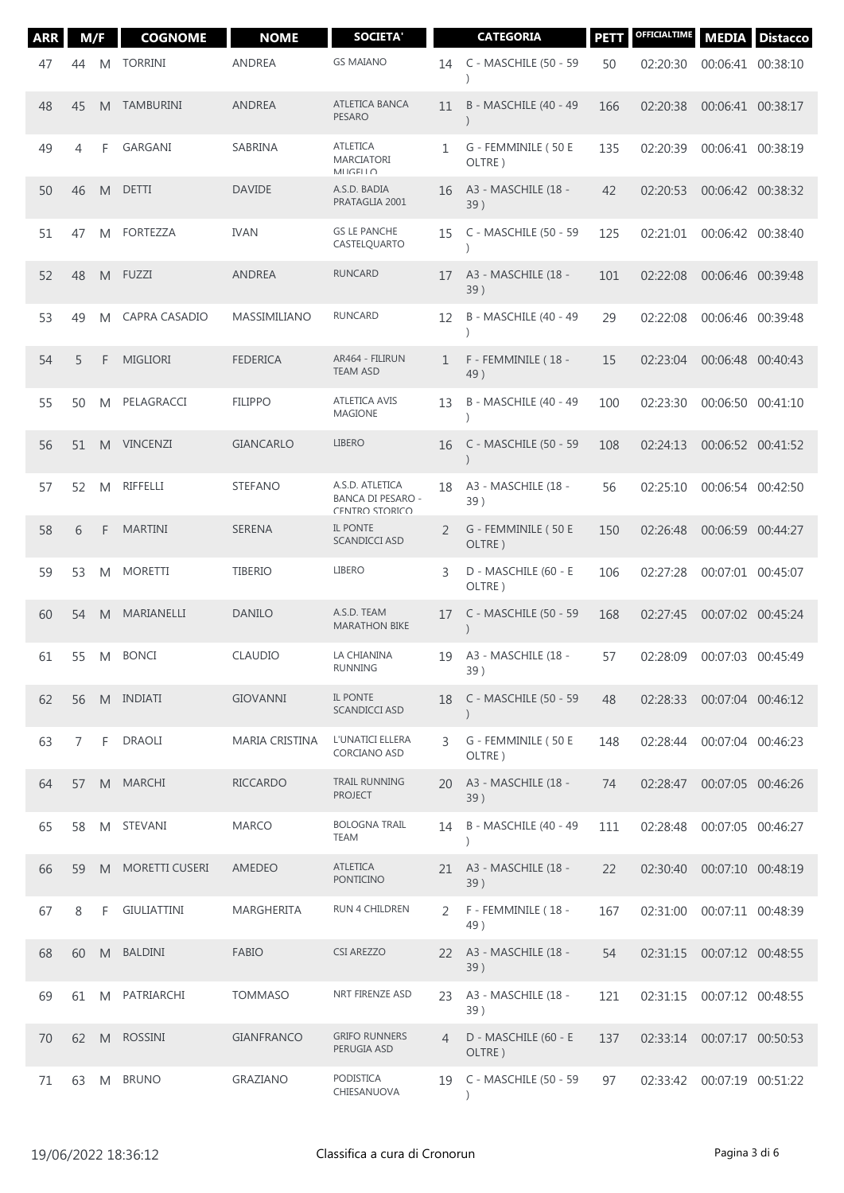| <b>ARR</b> | M/F |   | <b>COGNOME</b>        | <b>NOME</b>       | <b>SOCIETA'</b>                                               |                | <b>CATEGORIA</b>                       | <b>PETT</b> | OFFICIALTIME | <b>MEDIA</b>      | <b>Distacco</b> |
|------------|-----|---|-----------------------|-------------------|---------------------------------------------------------------|----------------|----------------------------------------|-------------|--------------|-------------------|-----------------|
| 47         | 44  | M | <b>TORRINI</b>        | <b>ANDREA</b>     | <b>GS MAIANO</b>                                              | 14             | C - MASCHILE (50 - 59                  | 50          | 02:20:30     | 00:06:41 00:38:10 |                 |
| 48         | 45  | M | <b>TAMBURINI</b>      | <b>ANDREA</b>     | ATLETICA BANCA<br><b>PESARO</b>                               | 11             | B - MASCHILE (40 - 49                  | 166         | 02:20:38     | 00:06:41 00:38:17 |                 |
| 49         | 4   | F | GARGANI               | SABRINA           | <b>ATLETICA</b><br>MARCIATORI<br>MIGELIO                      | 1              | G - FEMMINILE (50 E<br>OLTRE)          | 135         | 02:20:39     | 00:06:41 00:38:19 |                 |
| 50         | 46  | M | <b>DETTI</b>          | <b>DAVIDE</b>     | A.S.D. BADIA<br>PRATAGLIA 2001                                | 16             | A3 - MASCHILE (18 -<br>39)             | 42          | 02:20:53     | 00:06:42 00:38:32 |                 |
| 51         | 47  | M | <b>FORTEZZA</b>       | <b>IVAN</b>       | <b>GS LE PANCHE</b><br>CASTELQUARTO                           | 15             | C - MASCHILE (50 - 59                  | 125         | 02:21:01     | 00:06:42 00:38:40 |                 |
| 52         | 48  | M | FUZZI                 | ANDREA            | <b>RUNCARD</b>                                                | 17             | A3 - MASCHILE (18 -<br>39)             | 101         | 02:22:08     | 00:06:46 00:39:48 |                 |
| 53         | 49  | M | CAPRA CASADIO         | MASSIMILIANO      | <b>RUNCARD</b>                                                | 12             | B - MASCHILE (40 - 49                  | 29          | 02:22:08     | 00:06:46 00:39:48 |                 |
| 54         | 5   | F | <b>MIGLIORI</b>       | <b>FEDERICA</b>   | AR464 - FILIRUN<br><b>TEAM ASD</b>                            | 1              | F - FEMMINILE (18 -<br>49)             | 15          | 02:23:04     | 00:06:48 00:40:43 |                 |
| 55         | 50  | M | PELAGRACCI            | <b>FILIPPO</b>    | <b>ATLETICA AVIS</b><br><b>MAGIONE</b>                        | 13             | B - MASCHILE (40 - 49                  | 100         | 02:23:30     | 00:06:50 00:41:10 |                 |
| 56         | 51  | M | <b>VINCENZI</b>       | <b>GIANCARLO</b>  | <b>LIBERO</b>                                                 | 16             | C - MASCHILE (50 - 59                  | 108         | 02:24:13     | 00:06:52 00:41:52 |                 |
| 57         | 52  | M | RIFFELLI              | <b>STEFANO</b>    | A.S.D. ATLETICA<br><b>BANCA DI PESARO -</b><br>CENTRO STORICO | 18             | A3 - MASCHILE (18 -<br>39)             | 56          | 02:25:10     | 00:06:54 00:42:50 |                 |
| 58         | 6   | F | <b>MARTINI</b>        | <b>SERENA</b>     | IL PONTE<br>SCANDICCI ASD                                     | 2              | G - FEMMINILE (50 E<br>OLTRE)          | 150         | 02:26:48     | 00:06:59 00:44:27 |                 |
| 59         | 53  | M | <b>MORETTI</b>        | <b>TIBERIO</b>    | <b>LIBERO</b>                                                 | 3              | D - MASCHILE (60 - E<br>OLTRE)         | 106         | 02:27:28     | 00:07:01 00:45:07 |                 |
| 60         | 54  | M | MARIANELLI            | <b>DANILO</b>     | A.S.D. TEAM<br><b>MARATHON BIKE</b>                           | 17             | C - MASCHILE (50 - 59                  | 168         | 02:27:45     | 00:07:02 00:45:24 |                 |
| 61         | 55  | M | <b>BONCI</b>          | <b>CLAUDIO</b>    | LA CHIANINA<br>RUNNING                                        | 19             | A3 - MASCHILE (18 -<br>39)             | 57          | 02:28:09     | 00:07:03 00:45:49 |                 |
| 62         | 56  |   | M INDIATI             | <b>GIOVANNI</b>   | IL PONTE<br><b>SCANDICCI ASD</b>                              | 18             | C - MASCHILE (50 - 59                  | 48          | 02:28:33     | 00:07:04 00:46:12 |                 |
| 63         | 7   | F | DRAOLI                | MARIA CRISTINA    | L'UNATICI ELLERA<br>CORCIANO ASD                              | 3              | G - FEMMINILE (50 E<br>OLTRE)          | 148         | 02:28:44     | 00:07:04 00:46:23 |                 |
| 64         | 57  | M | <b>MARCHI</b>         | <b>RICCARDO</b>   | <b>TRAIL RUNNING</b><br><b>PROJECT</b>                        | 20             | A3 - MASCHILE (18 -<br>39)             | 74          | 02:28:47     | 00:07:05 00:46:26 |                 |
| 65         | 58  | M | STEVANI               | <b>MARCO</b>      | <b>BOLOGNA TRAIL</b><br><b>TEAM</b>                           | 14             | B - MASCHILE (40 - 49<br>$\mathcal{E}$ | 111         | 02:28:48     | 00:07:05 00:46:27 |                 |
| 66         | 59  | M | <b>MORETTI CUSERI</b> | AMEDEO            | <b>ATLETICA</b><br>PONTICINO                                  | 21             | A3 - MASCHILE (18 -<br>39)             | 22          | 02:30:40     | 00:07:10 00:48:19 |                 |
| 67         | 8   | F | <b>GIULIATTINI</b>    | MARGHERITA        | RUN 4 CHILDREN                                                | 2              | F - FEMMINILE (18 -<br>49)             | 167         | 02:31:00     | 00:07:11 00:48:39 |                 |
| 68         | 60  | M | <b>BALDINI</b>        | <b>FABIO</b>      | <b>CSI AREZZO</b>                                             | 22             | A3 - MASCHILE (18 -<br>39)             | 54          | 02:31:15     | 00:07:12 00:48:55 |                 |
| 69         | 61  | M | PATRIARCHI            | <b>TOMMASO</b>    | NRT FIRENZE ASD                                               | 23             | A3 - MASCHILE (18 -<br>39)             | 121         | 02:31:15     | 00:07:12 00:48:55 |                 |
| 70         | 62  | M | <b>ROSSINI</b>        | <b>GIANFRANCO</b> | <b>GRIFO RUNNERS</b><br>PERUGIA ASD                           | $\overline{4}$ | D - MASCHILE (60 - E<br>OLTRE)         | 137         | 02:33:14     | 00:07:17 00:50:53 |                 |
| 71         | 63  | M | <b>BRUNO</b>          | GRAZIANO          | PODISTICA<br>CHIESANUOVA                                      | 19             | C - MASCHILE (50 - 59                  | 97          | 02:33:42     | 00:07:19 00:51:22 |                 |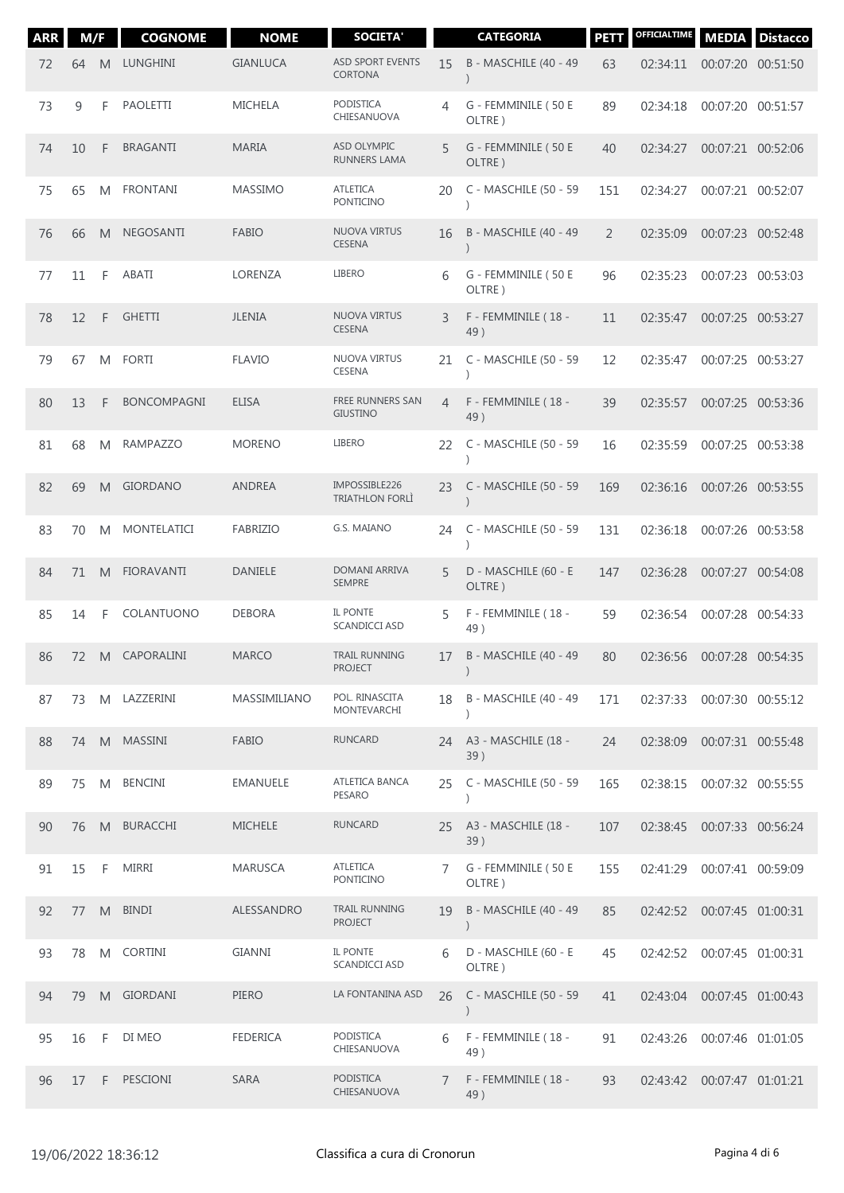| <b>ARR</b> | M/F |   | <b>COGNOME</b>     | <b>NOME</b>     | <b>SOCIETA'</b>                         |                | <b>CATEGORIA</b>                               | <b>PETT</b> | OFFICIALTIME | <b>MEDIA</b>      | <b>Distacco</b> |
|------------|-----|---|--------------------|-----------------|-----------------------------------------|----------------|------------------------------------------------|-------------|--------------|-------------------|-----------------|
| 72         | 64  | M | LUNGHINI           | <b>GIANLUCA</b> | <b>ASD SPORT EVENTS</b><br>CORTONA      | 15             | <b>B - MASCHILE (40 - 49</b><br>$\mathcal{E}$  | 63          | 02:34:11     | 00:07:20 00:51:50 |                 |
| 73         | 9   | F | <b>PAOLETTI</b>    | <b>MICHELA</b>  | <b>PODISTICA</b><br>CHIESANUOVA         | 4              | G - FEMMINILE (50 E<br>OLTRE)                  | 89          | 02:34:18     | 00:07:20 00:51:57 |                 |
| 74         | 10  | F | <b>BRAGANTI</b>    | <b>MARIA</b>    | <b>ASD OLYMPIC</b><br>RUNNERS LAMA      | 5              | G - FEMMINILE (50 E<br>OLTRE)                  | 40          | 02:34:27     | 00:07:21 00:52:06 |                 |
| 75         | 65  | M | <b>FRONTANI</b>    | <b>MASSIMO</b>  | <b>ATLETICA</b><br><b>PONTICINO</b>     | 20             | C - MASCHILE (50 - 59<br>$\lambda$             | 151         | 02:34:27     | 00:07:21 00:52:07 |                 |
| 76         | 66  | M | <b>NEGOSANTI</b>   | <b>FABIO</b>    | NUOVA VIRTUS<br><b>CESENA</b>           | 16             | B - MASCHILE (40 - 49<br>$\mathcal{E}$         | 2           | 02:35:09     | 00:07:23 00:52:48 |                 |
| 77         | 11  | F | ABATI              | LORENZA         | <b>LIBERO</b>                           | 6              | G - FEMMINILE (50 E<br>OLTRE)                  | 96          | 02:35:23     | 00:07:23 00:53:03 |                 |
| 78         | 12  | F | <b>GHETTI</b>      | <b>JLENIA</b>   | NUOVA VIRTUS<br><b>CESENA</b>           | 3              | F - FEMMINILE (18 -<br>49)                     | 11          | 02:35:47     | 00:07:25 00:53:27 |                 |
| 79         | 67  | M | <b>FORTI</b>       | <b>FLAVIO</b>   | NUOVA VIRTUS<br><b>CESENA</b>           | 21             | C - MASCHILE (50 - 59<br>$\lambda$             | 12          | 02:35:47     | 00:07:25 00:53:27 |                 |
| 80         | 13  | F | <b>BONCOMPAGNI</b> | <b>ELISA</b>    | FREE RUNNERS SAN<br><b>GIUSTINO</b>     | $\overline{4}$ | F - FEMMINILE (18 -<br>49)                     | 39          | 02:35:57     | 00:07:25 00:53:36 |                 |
| 81         | 68  | M | <b>RAMPAZZO</b>    | <b>MORENO</b>   | <b>LIBERO</b>                           | 22             | C - MASCHILE (50 - 59<br>$\lambda$             | 16          | 02:35:59     | 00:07:25 00:53:38 |                 |
| 82         | 69  | M | <b>GIORDANO</b>    | <b>ANDREA</b>   | IMPOSSIBLE226<br><b>TRIATHLON FORLI</b> | 23             | C - MASCHILE (50 - 59<br>$\mathcal{E}$         | 169         | 02:36:16     | 00:07:26 00:53:55 |                 |
| 83         | 70  | M | MONTELATICI        | <b>FABRIZIO</b> | G.S. MAIANO                             | 24             | C - MASCHILE (50 - 59<br>$\lambda$             | 131         | 02:36:18     | 00:07:26 00:53:58 |                 |
| 84         | 71  | M | <b>FIORAVANTI</b>  | <b>DANIELE</b>  | DOMANI ARRIVA<br><b>SEMPRE</b>          | 5              | D - MASCHILE (60 - E<br>OLTRE)                 | 147         | 02:36:28     | 00:07:27 00:54:08 |                 |
| 85         | 14  | F | COLANTUONO         | <b>DEBORA</b>   | <b>IL PONTE</b><br>SCANDICCI ASD        | 5              | F - FEMMINILE (18 -<br>49)                     | 59          | 02:36:54     | 00:07:28 00:54:33 |                 |
| 86         | 72  | M | CAPORALINI         | <b>MARCO</b>    | TRAIL RUNNING<br><b>PROJECT</b>         | 17             | B - MASCHILE (40 - 49<br>$\left( \right)$      | 80          | 02:36:56     | 00:07:28 00:54:35 |                 |
| 87         | 73  | M | LAZZERINI          | MASSIMILIANO    | POL. RINASCITA<br>MONTEVARCHI           | 18             | <b>B - MASCHILE (40 - 49</b>                   | 171         | 02:37:33     | 00:07:30 00:55:12 |                 |
| 88         | 74  | M | MASSINI            | <b>FABIO</b>    | <b>RUNCARD</b>                          | 24             | A3 - MASCHILE (18 -<br>39)                     | 24          | 02:38:09     | 00:07:31 00:55:48 |                 |
| 89         | 75  | M | <b>BENCINI</b>     | <b>EMANUELE</b> | ATLETICA BANCA<br><b>PESARO</b>         | 25             | C - MASCHILE (50 - 59                          | 165         | 02:38:15     | 00:07:32 00:55:55 |                 |
| 90         | 76  | M | <b>BURACCHI</b>    | <b>MICHELE</b>  | <b>RUNCARD</b>                          | 25             | A3 - MASCHILE (18 -<br>39)                     | 107         | 02:38:45     | 00:07:33 00:56:24 |                 |
| 91         | 15  | F | <b>MIRRI</b>       | <b>MARUSCA</b>  | ATLETICA<br>PONTICINO                   | 7              | G - FEMMINILE (50 E<br>OLTRE)                  | 155         | 02:41:29     | 00:07:41 00:59:09 |                 |
| 92         | 77  | M | <b>BINDI</b>       | ALESSANDRO      | <b>TRAIL RUNNING</b><br><b>PROJECT</b>  | 19             | <b>B - MASCHILE (40 - 49)</b><br>$\mathcal{E}$ | 85          | 02:42:52     | 00:07:45 01:00:31 |                 |
| 93         | 78  | M | <b>CORTINI</b>     | <b>GIANNI</b>   | IL PONTE<br><b>SCANDICCI ASD</b>        | 6              | D - MASCHILE (60 - E<br>OLTRE)                 | 45          | 02:42:52     | 00:07:45 01:00:31 |                 |
| 94         | 79  | M | <b>GIORDANI</b>    | PIERO           | LA FONTANINA ASD                        | 26             | C - MASCHILE (50 - 59<br>$\mathcal{E}$         | 41          | 02:43:04     | 00:07:45 01:00:43 |                 |
| 95         | 16  | F | DI MEO             | <b>FEDERICA</b> | PODISTICA<br>CHIESANUOVA                | 6              | F - FEMMINILE (18 -<br>49)                     | 91          | 02:43:26     | 00:07:46 01:01:05 |                 |
| 96         | 17  | F | PESCIONI           | <b>SARA</b>     | <b>PODISTICA</b><br>CHIESANUOVA         | $\overline{7}$ | F - FEMMINILE (18 -<br>49)                     | 93          | 02:43:42     | 00:07:47 01:01:21 |                 |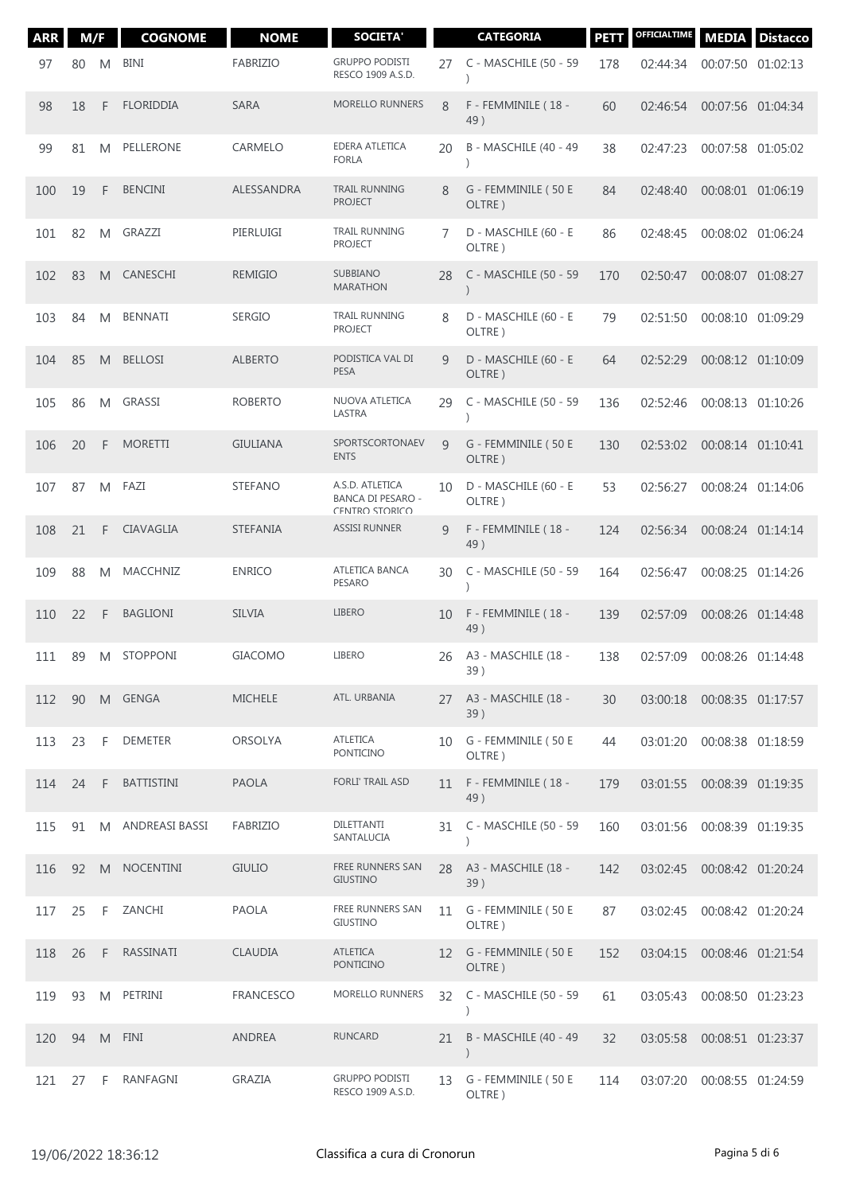| <b>ARR</b> | M/F |    | <b>COGNOME</b>    | <b>NOME</b>      | <b>SOCIETA'</b>                                               |    | <b>CATEGORIA</b>               | <b>PETT</b> | OFFICIALTIME | <b>MEDIA</b>      | <b>Distacco</b> |
|------------|-----|----|-------------------|------------------|---------------------------------------------------------------|----|--------------------------------|-------------|--------------|-------------------|-----------------|
| 97         | 80  | M  | <b>BINI</b>       | <b>FABRIZIO</b>  | <b>GRUPPO PODISTI</b><br>RESCO 1909 A.S.D.                    | 27 | C - MASCHILE (50 - 59          | 178         | 02:44:34     | 00:07:50 01:02:13 |                 |
| 98         | 18  | F  | <b>FLORIDDIA</b>  | <b>SARA</b>      | <b>MORELLO RUNNERS</b>                                        | 8  | F - FEMMINILE (18 -<br>49)     | 60          | 02:46:54     | 00:07:56 01:04:34 |                 |
| 99         | 81  | M  | PELLERONE         | CARMELO          | EDERA ATLETICA<br><b>FORLA</b>                                | 20 | B - MASCHILE (40 - 49          | 38          | 02:47:23     | 00:07:58 01:05:02 |                 |
| 100        | 19  | F  | <b>BENCINI</b>    | ALESSANDRA       | <b>TRAIL RUNNING</b><br><b>PROJECT</b>                        | 8  | G - FEMMINILE (50 E<br>OLTRE)  | 84          | 02:48:40     | 00:08:01 01:06:19 |                 |
| 101        | 82  | M  | GRAZZI            | PIERLUIGI        | <b>TRAIL RUNNING</b><br><b>PROJECT</b>                        | 7  | D - MASCHILE (60 - E<br>OLTRE) | 86          | 02:48:45     | 00:08:02 01:06:24 |                 |
| 102        | 83  | M  | CANESCHI          | <b>REMIGIO</b>   | <b>SUBBIANO</b><br><b>MARATHON</b>                            | 28 | C - MASCHILE (50 - 59          | 170         | 02:50:47     | 00:08:07 01:08:27 |                 |
| 103        | 84  | M  | <b>BENNATI</b>    | <b>SERGIO</b>    | <b>TRAIL RUNNING</b><br><b>PROJECT</b>                        | 8  | D - MASCHILE (60 - E<br>OLTRE) | 79          | 02:51:50     | 00:08:10 01:09:29 |                 |
| 104        | 85  | M  | <b>BELLOSI</b>    | <b>ALBERTO</b>   | PODISTICA VAL DI<br><b>PESA</b>                               | 9  | D - MASCHILE (60 - E<br>OLTRE) | 64          | 02:52:29     | 00:08:12 01:10:09 |                 |
| 105        | 86  | M  | GRASSI            | <b>ROBERTO</b>   | NUOVA ATLETICA<br>LASTRA                                      | 29 | C - MASCHILE (50 - 59          | 136         | 02:52:46     | 00:08:13 01:10:26 |                 |
| 106        | 20  | F  | <b>MORETTI</b>    | <b>GIULIANA</b>  | SPORTSCORTONAEV<br><b>ENTS</b>                                | 9  | G - FEMMINILE (50 E<br>OLTRE)  | 130         | 02:53:02     | 00:08:14 01:10:41 |                 |
| 107        | 87  | M  | FAZI              | <b>STEFANO</b>   | A.S.D. ATLETICA<br><b>BANCA DI PESARO -</b><br>CENTRO STORICO | 10 | D - MASCHILE (60 - E<br>OLTRE) | 53          | 02:56:27     | 00:08:24 01:14:06 |                 |
| 108        | 21  | F  | CIAVAGLIA         | <b>STEFANIA</b>  | <b>ASSISI RUNNER</b>                                          | 9  | F - FEMMINILE (18 -<br>49)     | 124         | 02:56:34     | 00:08:24 01:14:14 |                 |
| 109        | 88  | M  | MACCHNIZ          | <b>ENRICO</b>    | ATLETICA BANCA<br><b>PESARO</b>                               | 30 | C - MASCHILE (50 - 59          | 164         | 02:56:47     | 00:08:25 01:14:26 |                 |
| 110        | 22  | F  | <b>BAGLIONI</b>   | <b>SILVIA</b>    | <b>LIBERO</b>                                                 | 10 | F - FEMMINILE (18 -<br>49)     | 139         | 02:57:09     | 00:08:26 01:14:48 |                 |
| 111        | 89  | M  | <b>STOPPONI</b>   | <b>GIACOMO</b>   | <b>LIBERO</b>                                                 | 26 | A3 - MASCHILE (18 -<br>39)     | 138         | 02:57:09     | 00:08:26 01:14:48 |                 |
| 112        | 90  |    | M GENGA           | <b>MICHELE</b>   | ATL. URBANIA                                                  | 27 | A3 - MASCHILE (18 -<br>39)     | 30          | 03:00:18     | 00:08:35 01:17:57 |                 |
| 113        | 23  | F  | <b>DEMETER</b>    | <b>ORSOLYA</b>   | <b>ATLETICA</b><br>PONTICINO                                  | 10 | G - FEMMINILE (50 E<br>OLTRE)  | 44          | 03:01:20     | 00:08:38 01:18:59 |                 |
| 114        | 24  | F  | <b>BATTISTINI</b> | <b>PAOLA</b>     | FORLI' TRAIL ASD                                              | 11 | F - FEMMINILE (18 -<br>49)     | 179         | 03:01:55     | 00:08:39 01:19:35 |                 |
| 115        | 91  | M  | ANDREASI BASSI    | FABRIZIO         | DILETTANTI<br>SANTALUCIA                                      | 31 | C - MASCHILE (50 - 59          | 160         | 03:01:56     | 00:08:39 01:19:35 |                 |
| 116        | 92  | M  | <b>NOCENTINI</b>  | <b>GIULIO</b>    | FREE RUNNERS SAN<br><b>GIUSTINO</b>                           | 28 | A3 - MASCHILE (18 -<br>39)     | 142         | 03:02:45     | 00:08:42 01:20:24 |                 |
| 117        | 25  | F  | ZANCHI            | <b>PAOLA</b>     | FREE RUNNERS SAN<br>GIUSTINO                                  | 11 | G - FEMMINILE (50 E<br>OLTRE)  | 87          | 03:02:45     | 00:08:42 01:20:24 |                 |
| 118        | 26  | F. | RASSINATI         | CLAUDIA          | <b>ATLETICA</b><br>PONTICINO                                  | 12 | G - FEMMINILE (50 E<br>OLTRE)  | 152         | 03:04:15     | 00:08:46 01:21:54 |                 |
| 119        | 93  | M  | PETRINI           | <b>FRANCESCO</b> | MORELLO RUNNERS                                               | 32 | C - MASCHILE (50 - 59          | 61          | 03:05:43     | 00:08:50 01:23:23 |                 |
| 120        | 94  | M  | FINI              | ANDREA           | <b>RUNCARD</b>                                                | 21 | B - MASCHILE (40 - 49          | 32          | 03:05:58     | 00:08:51 01:23:37 |                 |
| 121        | 27  | F  | RANFAGNI          | GRAZIA           | <b>GRUPPO PODISTI</b><br>RESCO 1909 A.S.D.                    | 13 | G - FEMMINILE (50 E<br>OLTRE)  | 114         | 03:07:20     | 00:08:55 01:24:59 |                 |